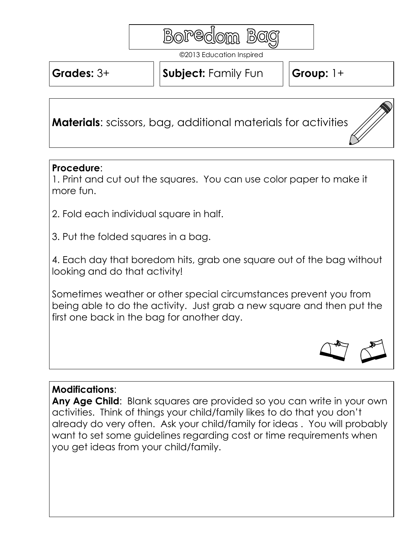

©2013 Education Inspired

**Grades:** 3+

**Subject:** Family Fun | Group: 1+

**Materials**: scissors, bag, additional materials for activities

## **Procedure**:

1. Print and cut out the squares. You can use color paper to make it more fun.

2. Fold each individual square in half.

3. Put the folded squares in a bag.

4. Each day that boredom hits, grab one square out of the bag without looking and do that activity!

Sometimes weather or other special circumstances prevent you from being able to do the activity. Just grab a new square and then put the first one back in the bag for another day.



## **Modifications**:

**Any Age Child**: Blank squares are provided so you can write in your own activities. Think of things your child/family likes to do that you don't already do very often. Ask your child/family for ideas . You will probably want to set some guidelines regarding cost or time requirements when you get ideas from your child/family.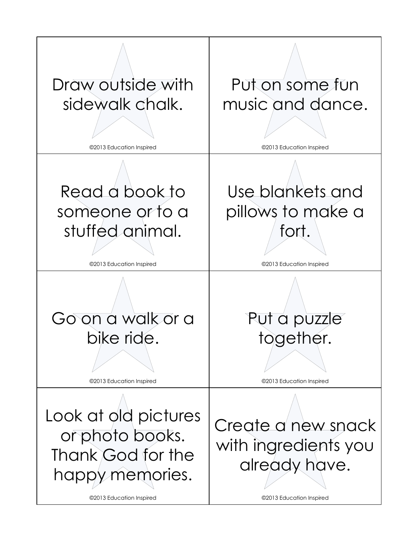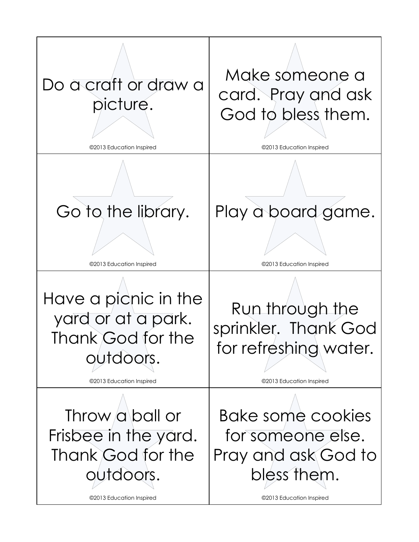![](_page_2_Picture_0.jpeg)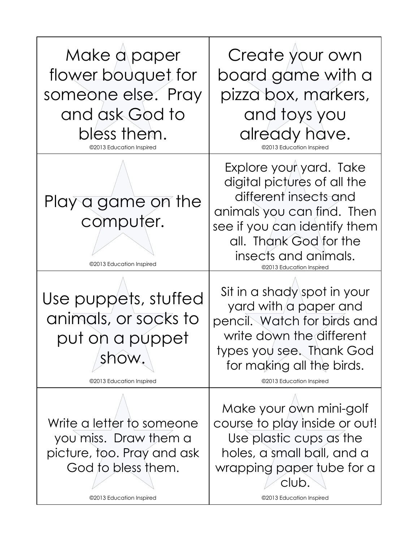![](_page_3_Picture_0.jpeg)